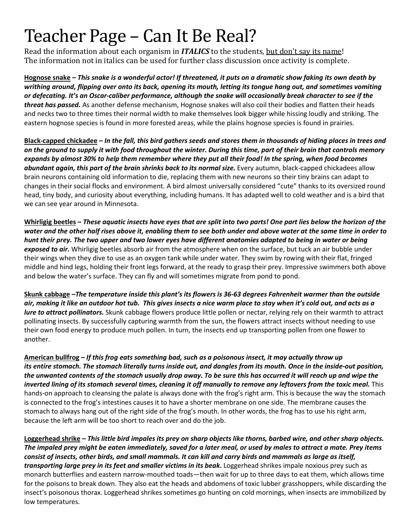## Teacher Page – Can It Be Real?

Read the information about each organism in *ITALICS* to the students, but don't say its name! The information not in italics can be used for further class discussion once activity is complete.

**Hognose snake –** *This snake is a wonderful actor! If threatened, it puts on a dramatic show faking its own death by writhing around, flipping over onto its back, opening its mouth, letting its tongue hang out, and sometimes vomiting or defecating. It's an Oscar-caliber performance, although the snake will occasionally break character to see if the threat has passed.* As another defense mechanism, Hognose snakes will also coil their bodies and flatten their heads and necks two to three times their normal width to make themselves look bigger while hissing loudly and striking. The eastern hognose species is found in more forested areas, while the plains hognose species is found in prairies.

**Black-capped chickadee –** *In the fall, this bird gathers seeds and stores them in thousands of hiding places in trees and on the ground to supply it with food throughout the winter. During this time, part of their brain that controls memory expands by almost 30% to help them remember where they put all their food! In the spring, when food becomes abundant again, this part of the brain shrinks back to its normal size.* Every autumn, black-capped chickadees allow brain neurons containing old information to die, replacing them with new neurons so their tiny brains can adapt to changes in their social flocks and environment. A bird almost universally considered "cute" thanks to its oversized round head, tiny body, and curiosity about everything, including humans. It has adapted well to cold weather and is a bird that we can see year around in Minnesota.

**Whirligig beetles –** *These aquatic insects have eyes that are split into two parts! One part lies below the horizon of the water and the other half rises above it, enabling them to see both under and above water at the same time in order to hunt their prey. The two upper and two lower eyes have different anatomies adapted to being in water or being exposed to air.* Whirligig beetles absorb air from the atmosphere when on the surface, but tuck an air bubble under their wings when they dive to use as an oxygen tank while under water. They swim by rowing with their flat, fringed middle and hind legs, holding their front legs forward, at the ready to grasp their prey. Impressive swimmers both above and below the water's surface. They can fly and will sometimes migrate from pond to pond.

**Skunk cabbage –***The temperature inside this plant's its flowers is 36-63 degrees Fahrenheit warmer than the outside air, making it like an outdoor hot tub. This gives insects a nice warm place to stay when it's cold out, and acts as a lure to attract pollinators.* Skunk cabbage flowers produce little pollen or nectar, relying rely on their warmth to attract pollinating insects. By successfully capturing warmth from the sun, the flowers attract insects without needing to use their own food energy to produce much pollen. In turn, the insects end up transporting pollen from one flower to another.

**American bullfrog –** *If this frog eats something bad, such as a poisonous insect, it may actually throw up its entire stomach. The stomach literally turns inside out, and dangles from its mouth. Once in the inside-out position, the unwanted contents of the stomach usually drop away. To be sure this has occurred it will reach up and wipe the inverted lining of its stomach several times, cleaning it off manually to remove any leftovers from the toxic meal.* This hands-on approach to cleansing the palate is always done with the frog's right arm. This is because the way the stomach is connected to the frog's intestines causes it to have a shorter membrane on one side. The membrane causes the stomach to always hang out of the right side of the frog's mouth. In other words, the frog has to use his right arm, because the left arm will be too short to reach over and do the job.

**Loggerhead shrike –** *This little bird impales its prey on sharp objects like thorns, barbed wire, and other sharp objects. The impaled prey might be eaten immediately, saved for a later meal, or used by males to attract a mate. Prey items consist of insects, other birds, and small mammals. It can kill and carry birds and mammals as large as itself, transporting large prey in its feet and smaller victims in its beak***.** Loggerhead shrikes impale noxious prey such as monarch butterflies and eastern narrow-mouthed toads—then wait for up to three days to eat them, which allows time for the poisons to break down. They also eat the heads and abdomens of toxic lubber grasshoppers, while discarding the insect's poisonous thorax. Loggerhead shrikes sometimes go hunting on cold mornings, when insects are immobilized by low temperatures.